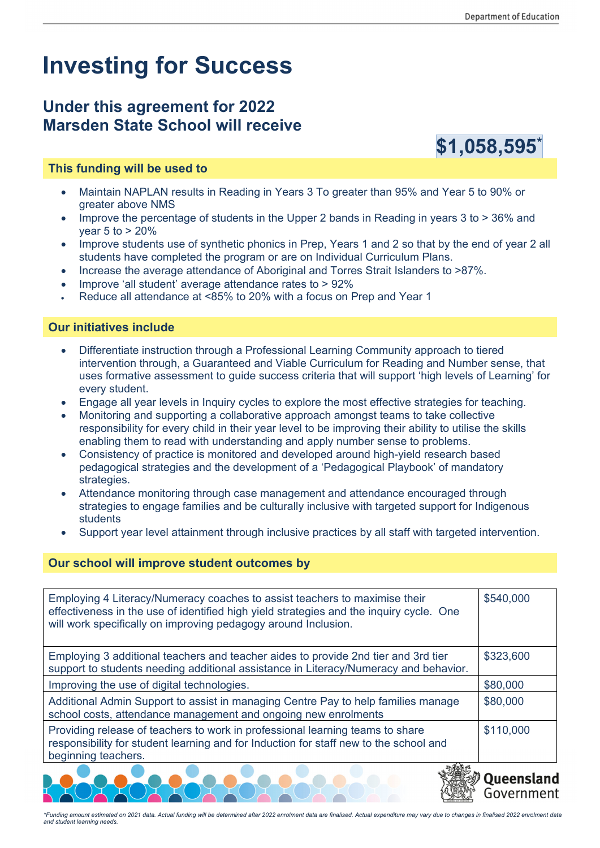## **Investing for Success**

## **Under this agreement for 2022 Marsden State School will receive**



- Maintain NAPLAN results in Reading in Years 3 To greater than 95% and Year 5 to 90% or greater above NMS
- Improve the percentage of students in the Upper 2 bands in Reading in years 3 to > 36% and year 5 to > 20%
- Improve students use of synthetic phonics in Prep, Years 1 and 2 so that by the end of year 2 all students have completed the program or are on Individual Curriculum Plans.
- Increase the average attendance of Aboriginal and Torres Strait Islanders to >87%.
- Improve 'all student' average attendance rates to > 92%
- Reduce all attendance at <85% to 20% with a focus on Prep and Year 1

## **Our initiatives include**

- Differentiate instruction through a Professional Learning Community approach to tiered intervention through, a Guaranteed and Viable Curriculum for Reading and Number sense, that uses formative assessment to guide success criteria that will support 'high levels of Learning' for every student.
- Engage all year levels in Inquiry cycles to explore the most effective strategies for teaching.
- Monitoring and supporting a collaborative approach amongst teams to take collective responsibility for every child in their year level to be improving their ability to utilise the skills enabling them to read with understanding and apply number sense to problems.
- Consistency of practice is monitored and developed around high-yield research based pedagogical strategies and the development of a 'Pedagogical Playbook' of mandatory strategies.
- Attendance monitoring through case management and attendance encouraged through strategies to engage families and be culturally inclusive with targeted support for Indigenous students
- Support year level attainment through inclusive practices by all staff with targeted intervention.

## **Our school will improve student outcomes by**

| Employing 4 Literacy/Numeracy coaches to assist teachers to maximise their<br>effectiveness in the use of identified high yield strategies and the inquiry cycle. One<br>will work specifically on improving pedagogy around Inclusion. | \$540,000 |
|-----------------------------------------------------------------------------------------------------------------------------------------------------------------------------------------------------------------------------------------|-----------|
| Employing 3 additional teachers and teacher aides to provide 2nd tier and 3rd tier<br>support to students needing additional assistance in Literacy/Numeracy and behavior.                                                              | \$323,600 |
| Improving the use of digital technologies.                                                                                                                                                                                              | \$80,000  |
| Additional Admin Support to assist in managing Centre Pay to help families manage<br>school costs, attendance management and ongoing new enrolments                                                                                     | \$80,000  |
| Providing release of teachers to work in professional learning teams to share<br>responsibility for student learning and for Induction for staff new to the school and<br>beginning teachers.                                           | \$110,000 |